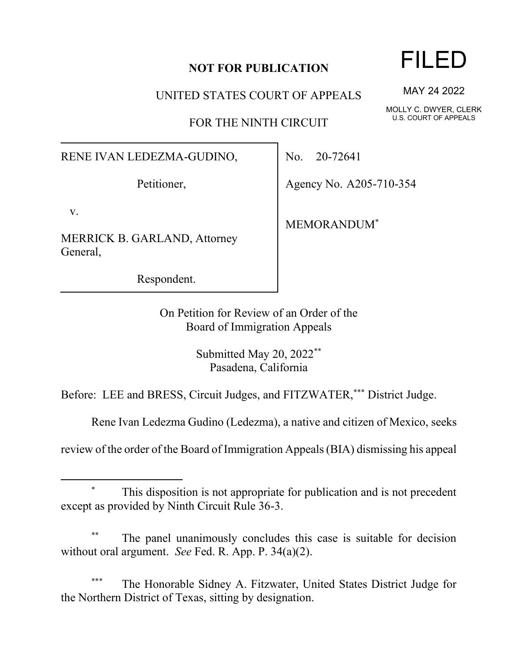## **NOT FOR PUBLICATION**

UNITED STATES COURT OF APPEALS

FOR THE NINTH CIRCUIT

## RENE IVAN LEDEZMA-GUDINO,

Petitioner,

v.

MERRICK B. GARLAND, Attorney General,

Respondent.

No. 20-72641

Agency No. A205-710-354

MEMORANDUM\*

On Petition for Review of an Order of the Board of Immigration Appeals

> Submitted May 20, 2022\*\* Pasadena, California

Before: LEE and BRESS, Circuit Judges, and FITZWATER,\*\*\* District Judge.

Rene Ivan Ledezma Gudino (Ledezma), a native and citizen of Mexico, seeks

review of the order of the Board of Immigration Appeals (BIA) dismissing his appeal

The panel unanimously concludes this case is suitable for decision without oral argument. *See* Fed. R. App. P. 34(a)(2).

\*\*\* The Honorable Sidney A. Fitzwater, United States District Judge for the Northern District of Texas, sitting by designation.

FILED

MAY 24 2022

MOLLY C. DWYER, CLERK U.S. COURT OF APPEALS

<sup>\*</sup> This disposition is not appropriate for publication and is not precedent except as provided by Ninth Circuit Rule 36-3.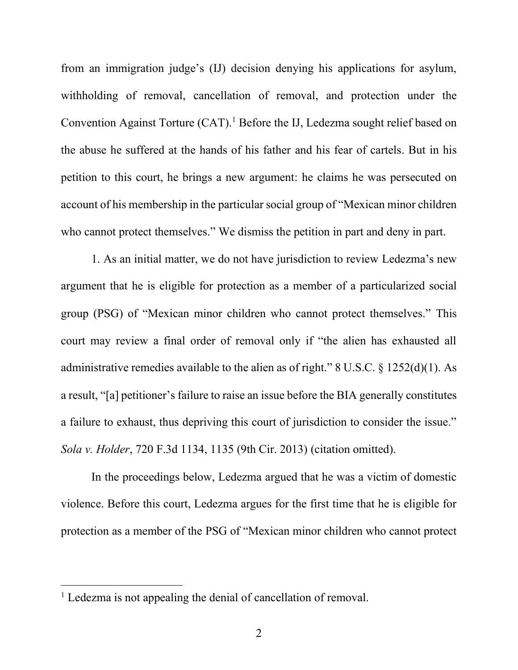from an immigration judge's (IJ) decision denying his applications for asylum, withholding of removal, cancellation of removal, and protection under the Convention Against Torture  $(CAT)$ .<sup>1</sup> Before the IJ, Ledezma sought relief based on the abuse he suffered at the hands of his father and his fear of cartels. But in his petition to this court, he brings a new argument: he claims he was persecuted on account of his membership in the particular social group of "Mexican minor children who cannot protect themselves." We dismiss the petition in part and deny in part.

1. As an initial matter, we do not have jurisdiction to review Ledezma's new argument that he is eligible for protection as a member of a particularized social group (PSG) of "Mexican minor children who cannot protect themselves." This court may review a final order of removal only if "the alien has exhausted all administrative remedies available to the alien as of right." 8 U.S.C. § 1252(d)(1). As a result, "[a] petitioner's failure to raise an issue before the BIA generally constitutes a failure to exhaust, thus depriving this court of jurisdiction to consider the issue." *Sola v. Holder*, 720 F.3d 1134, 1135 (9th Cir. 2013) (citation omitted).

In the proceedings below, Ledezma argued that he was a victim of domestic violence. Before this court, Ledezma argues for the first time that he is eligible for protection as a member of the PSG of "Mexican minor children who cannot protect

<sup>&</sup>lt;sup>1</sup> Ledezma is not appealing the denial of cancellation of removal.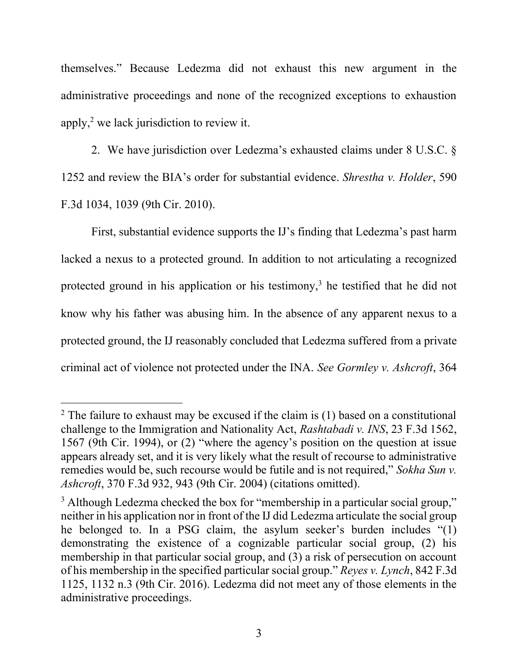themselves." Because Ledezma did not exhaust this new argument in the administrative proceedings and none of the recognized exceptions to exhaustion apply, $^2$  we lack jurisdiction to review it.

2. We have jurisdiction over Ledezma's exhausted claims under 8 U.S.C. § 1252 and review the BIA's order for substantial evidence. *Shrestha v. Holder*, 590 F.3d 1034, 1039 (9th Cir. 2010).

First, substantial evidence supports the IJ's finding that Ledezma's past harm lacked a nexus to a protected ground. In addition to not articulating a recognized protected ground in his application or his testimony,<sup>3</sup> he testified that he did not know why his father was abusing him. In the absence of any apparent nexus to a protected ground, the IJ reasonably concluded that Ledezma suffered from a private criminal act of violence not protected under the INA. *See Gormley v. Ashcroft*, 364

 $2$  The failure to exhaust may be excused if the claim is (1) based on a constitutional challenge to the Immigration and Nationality Act, *Rashtabadi v. INS*, 23 F.3d 1562, 1567 (9th Cir. 1994), or (2) "where the agency's position on the question at issue appears already set, and it is very likely what the result of recourse to administrative remedies would be, such recourse would be futile and is not required," *Sokha Sun v. Ashcroft*, 370 F.3d 932, 943 (9th Cir. 2004) (citations omitted).

 $3$  Although Ledezma checked the box for "membership in a particular social group," neither in his application nor in front of the IJ did Ledezma articulate the social group he belonged to. In a PSG claim, the asylum seeker's burden includes "(1) demonstrating the existence of a cognizable particular social group, (2) his membership in that particular social group, and (3) a risk of persecution on account of his membership in the specified particular social group." *Reyes v. Lynch*, 842 F.3d 1125, 1132 n.3 (9th Cir. 2016). Ledezma did not meet any of those elements in the administrative proceedings.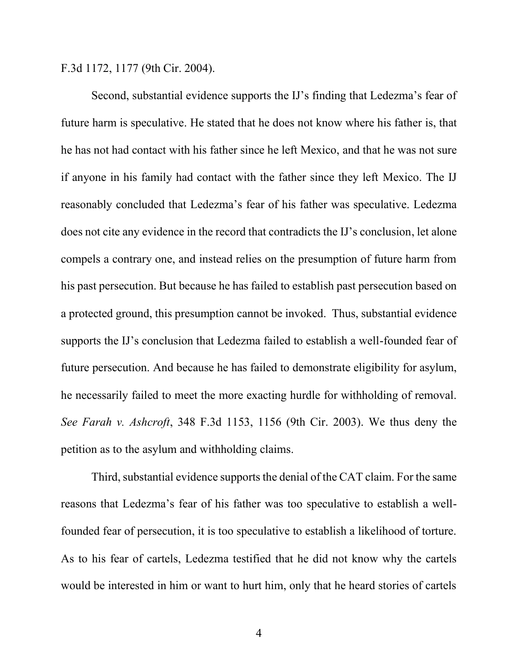F.3d 1172, 1177 (9th Cir. 2004).

Second, substantial evidence supports the IJ's finding that Ledezma's fear of future harm is speculative. He stated that he does not know where his father is, that he has not had contact with his father since he left Mexico, and that he was not sure if anyone in his family had contact with the father since they left Mexico. The IJ reasonably concluded that Ledezma's fear of his father was speculative. Ledezma does not cite any evidence in the record that contradicts the IJ's conclusion, let alone compels a contrary one, and instead relies on the presumption of future harm from his past persecution. But because he has failed to establish past persecution based on a protected ground, this presumption cannot be invoked. Thus, substantial evidence supports the IJ's conclusion that Ledezma failed to establish a well-founded fear of future persecution. And because he has failed to demonstrate eligibility for asylum, he necessarily failed to meet the more exacting hurdle for withholding of removal. *See Farah v. Ashcroft*, 348 F.3d 1153, 1156 (9th Cir. 2003). We thus deny the petition as to the asylum and withholding claims.

Third, substantial evidence supports the denial of the CAT claim. For the same reasons that Ledezma's fear of his father was too speculative to establish a wellfounded fear of persecution, it is too speculative to establish a likelihood of torture. As to his fear of cartels, Ledezma testified that he did not know why the cartels would be interested in him or want to hurt him, only that he heard stories of cartels